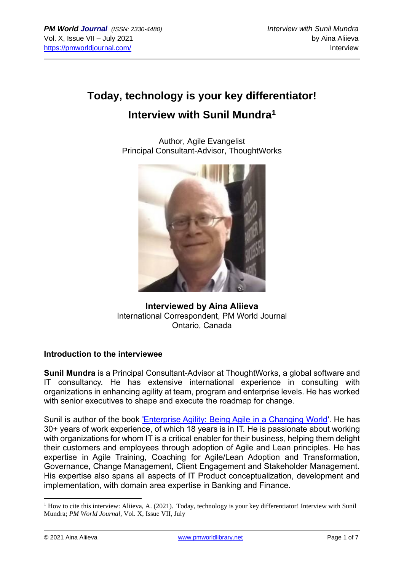# **Today, technology is your key differentiator! Interview with Sunil Mundra<sup>1</sup>**

Author, Agile Evangelist Principal Consultant-Advisor, ThoughtWorks



### **Interviewed by Aina Aliieva** International Correspondent, PM World Journal Ontario, Canada

#### **Introduction to the interviewee**

**Sunil Mundra** is a Principal Consultant-Advisor at ThoughtWorks, a global software and IT consultancy. He has extensive international experience in consulting with organizations in enhancing agility at team, program and enterprise levels. He has worked with senior executives to shape and execute the roadmap for change.

Sunil is author of the book ['Enterprise Agility: Being Agile in a Changing World'](https://www.thoughtworks.com/books/enterprise-agility-in-changing-world). He has 30+ years of work experience, of which 18 years is in IT. He is passionate about working with organizations for whom IT is a critical enabler for their business, helping them delight their customers and employees through adoption of Agile and Lean principles. He has expertise in Agile Training, Coaching for Agile/Lean Adoption and Transformation, Governance, Change Management, Client Engagement and Stakeholder Management. His expertise also spans all aspects of IT Product conceptualization, development and implementation, with domain area expertise in Banking and Finance.

<sup>&</sup>lt;sup>1</sup> How to cite this interview: Aliieva, A. (2021). Today, technology is your key differentiator! Interview with Sunil Mundra; *PM World Journal*, Vol. X, Issue VII, July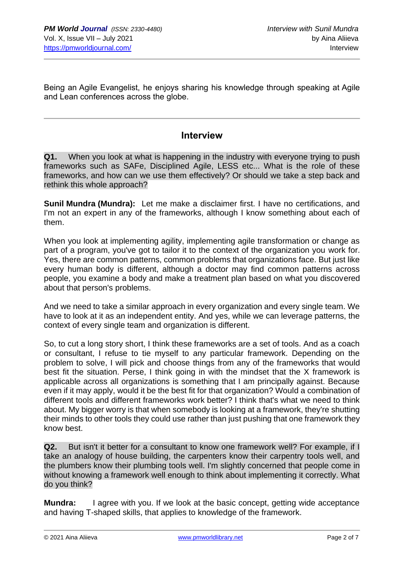Being an Agile Evangelist, he enjoys sharing his knowledge through speaking at Agile and Lean conferences across the globe.

## **Interview**

**Q1.** When you look at what is happening in the industry with everyone trying to push frameworks such as SAFe, Disciplined Agile, LESS etc... What is the role of these frameworks, and how can we use them effectively? Or should we take a step back and rethink this whole approach?

**Sunil Mundra (Mundra):** Let me make a disclaimer first. I have no certifications, and I'm not an expert in any of the frameworks, although I know something about each of them.

When you look at implementing agility, implementing agile transformation or change as part of a program, you've got to tailor it to the context of the organization you work for. Yes, there are common patterns, common problems that organizations face. But just like every human body is different, although a doctor may find common patterns across people, you examine a body and make a treatment plan based on what you discovered about that person's problems.

And we need to take a similar approach in every organization and every single team. We have to look at it as an independent entity. And yes, while we can leverage patterns, the context of every single team and organization is different.

So, to cut a long story short, I think these frameworks are a set of tools. And as a coach or consultant, I refuse to tie myself to any particular framework. Depending on the problem to solve, I will pick and choose things from any of the frameworks that would best fit the situation. Perse, I think going in with the mindset that the X framework is applicable across all organizations is something that I am principally against. Because even if it may apply, would it be the best fit for that organization? Would a combination of different tools and different frameworks work better? I think that's what we need to think about. My bigger worry is that when somebody is looking at a framework, they're shutting their minds to other tools they could use rather than just pushing that one framework they know best.

**Q2.** But isn't it better for a consultant to know one framework well? For example, if I take an analogy of house building, the carpenters know their carpentry tools well, and the plumbers know their plumbing tools well. I'm slightly concerned that people come in without knowing a framework well enough to think about implementing it correctly. What do you think?

**Mundra:** I agree with you. If we look at the basic concept, getting wide acceptance and having T-shaped skills, that applies to knowledge of the framework.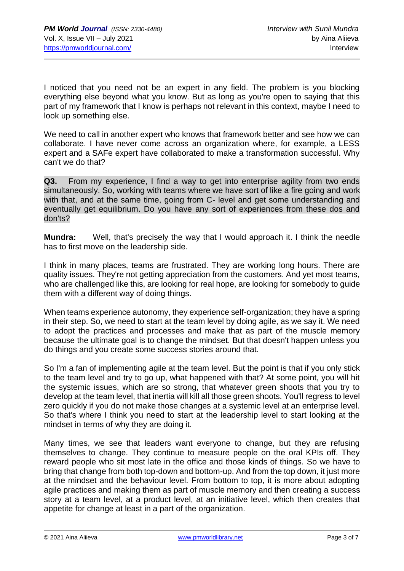I noticed that you need not be an expert in any field. The problem is you blocking everything else beyond what you know. But as long as you're open to saying that this part of my framework that I know is perhaps not relevant in this context, maybe I need to look up something else.

We need to call in another expert who knows that framework better and see how we can collaborate. I have never come across an organization where, for example, a LESS expert and a SAFe expert have collaborated to make a transformation successful. Why can't we do that?

**Q3.** From my experience, I find a way to get into enterprise agility from two ends simultaneously. So, working with teams where we have sort of like a fire going and work with that, and at the same time, going from C- level and get some understanding and eventually get equilibrium. Do you have any sort of experiences from these dos and don'ts?

**Mundra:** Well, that's precisely the way that I would approach it. I think the needle has to first move on the leadership side.

I think in many places, teams are frustrated. They are working long hours. There are quality issues. They're not getting appreciation from the customers. And yet most teams, who are challenged like this, are looking for real hope, are looking for somebody to guide them with a different way of doing things.

When teams experience autonomy, they experience self-organization; they have a spring in their step. So, we need to start at the team level by doing agile, as we say it. We need to adopt the practices and processes and make that as part of the muscle memory because the ultimate goal is to change the mindset. But that doesn't happen unless you do things and you create some success stories around that.

So I'm a fan of implementing agile at the team level. But the point is that if you only stick to the team level and try to go up, what happened with that? At some point, you will hit the systemic issues, which are so strong, that whatever green shoots that you try to develop at the team level, that inertia will kill all those green shoots. You'll regress to level zero quickly if you do not make those changes at a systemic level at an enterprise level. So that's where I think you need to start at the leadership level to start looking at the mindset in terms of why they are doing it.

Many times, we see that leaders want everyone to change, but they are refusing themselves to change. They continue to measure people on the oral KPIs off. They reward people who sit most late in the office and those kinds of things. So we have to bring that change from both top-down and bottom-up. And from the top down, it just more at the mindset and the behaviour level. From bottom to top, it is more about adopting agile practices and making them as part of muscle memory and then creating a success story at a team level, at a product level, at an initiative level, which then creates that appetite for change at least in a part of the organization.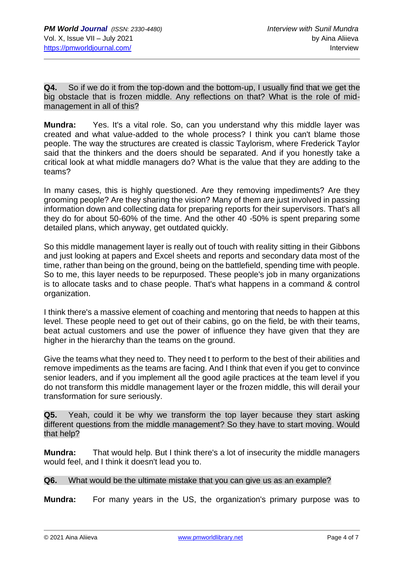**Q4.** So if we do it from the top-down and the bottom-up, I usually find that we get the big obstacle that is frozen middle. Any reflections on that? What is the role of midmanagement in all of this?

**Mundra:** Yes. It's a vital role. So, can you understand why this middle layer was created and what value-added to the whole process? I think you can't blame those people. The way the structures are created is classic Taylorism, where Frederick Taylor said that the thinkers and the doers should be separated. And if you honestly take a critical look at what middle managers do? What is the value that they are adding to the teams?

In many cases, this is highly questioned. Are they removing impediments? Are they grooming people? Are they sharing the vision? Many of them are just involved in passing information down and collecting data for preparing reports for their supervisors. That's all they do for about 50-60% of the time. And the other 40 -50% is spent preparing some detailed plans, which anyway, get outdated quickly.

So this middle management layer is really out of touch with reality sitting in their Gibbons and just looking at papers and Excel sheets and reports and secondary data most of the time, rather than being on the ground, being on the battlefield, spending time with people. So to me, this layer needs to be repurposed. These people's job in many organizations is to allocate tasks and to chase people. That's what happens in a command & control organization.

I think there's a massive element of coaching and mentoring that needs to happen at this level. These people need to get out of their cabins, go on the field, be with their teams, beat actual customers and use the power of influence they have given that they are higher in the hierarchy than the teams on the ground.

Give the teams what they need to. They need t to perform to the best of their abilities and remove impediments as the teams are facing. And I think that even if you get to convince senior leaders, and if you implement all the good agile practices at the team level if you do not transform this middle management layer or the frozen middle, this will derail your transformation for sure seriously.

**Q5.** Yeah, could it be why we transform the top layer because they start asking different questions from the middle management? So they have to start moving. Would that help?

**Mundra:** That would help. But I think there's a lot of insecurity the middle managers would feel, and I think it doesn't lead you to.

**Q6.** What would be the ultimate mistake that you can give us as an example?

**Mundra:** For many years in the US, the organization's primary purpose was to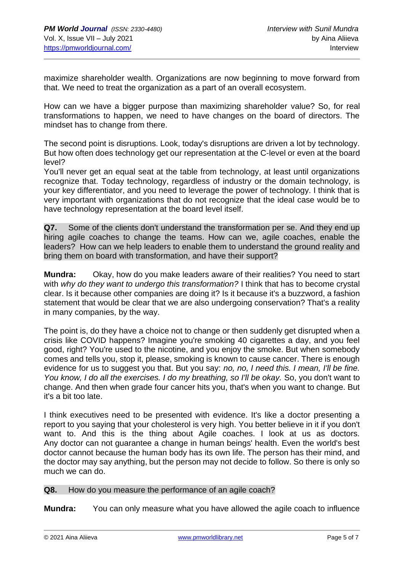maximize shareholder wealth. Organizations are now beginning to move forward from that. We need to treat the organization as a part of an overall ecosystem.

How can we have a bigger purpose than maximizing shareholder value? So, for real transformations to happen, we need to have changes on the board of directors. The mindset has to change from there.

The second point is disruptions. Look, today's disruptions are driven a lot by technology. But how often does technology get our representation at the C-level or even at the board level?

You'll never get an equal seat at the table from technology, at least until organizations recognize that. Today technology, regardless of industry or the domain technology, is your key differentiator, and you need to leverage the power of technology. I think that is very important with organizations that do not recognize that the ideal case would be to have technology representation at the board level itself.

**Q7.** Some of the clients don't understand the transformation per se. And they end up hiring agile coaches to change the teams. How can we, agile coaches, enable the leaders? How can we help leaders to enable them to understand the ground reality and bring them on board with transformation, and have their support?

**Mundra:** Okay, how do you make leaders aware of their realities? You need to start with *why do they want to undergo this transformation?* I think that has to become crystal clear. Is it because other companies are doing it? Is it because it's a buzzword, a fashion statement that would be clear that we are also undergoing conservation? That's a reality in many companies, by the way.

The point is, do they have a choice not to change or then suddenly get disrupted when a crisis like COVID happens? Imagine you're smoking 40 cigarettes a day, and you feel good, right? You're used to the nicotine, and you enjoy the smoke. But when somebody comes and tells you, stop it, please, smoking is known to cause cancer. There is enough evidence for us to suggest you that. But you say: *no, no, I need this. I mean, I'll be fine. You know, I do all the exercises. I do my breathing, so I'll be okay.* So, you don't want to change. And then when grade four cancer hits you, that's when you want to change. But it's a bit too late.

I think executives need to be presented with evidence. It's like a doctor presenting a report to you saying that your cholesterol is very high. You better believe in it if you don't want to. And this is the thing about Agile coaches. I look at us as doctors. Any doctor can not guarantee a change in human beings' health. Even the world's best doctor cannot because the human body has its own life. The person has their mind, and the doctor may say anything, but the person may not decide to follow. So there is only so much we can do.

#### **Q8.** How do you measure the performance of an agile coach?

**Mundra:** You can only measure what you have allowed the agile coach to influence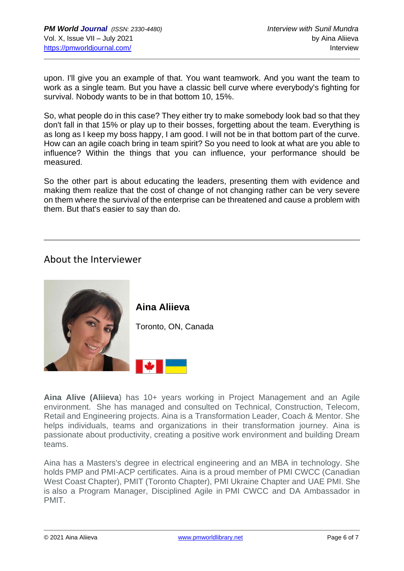upon. I'll give you an example of that. You want teamwork. And you want the team to work as a single team. But you have a classic bell curve where everybody's fighting for survival. Nobody wants to be in that bottom 10, 15%.

So, what people do in this case? They either try to make somebody look bad so that they don't fall in that 15% or play up to their bosses, forgetting about the team. Everything is as long as I keep my boss happy, I am good. I will not be in that bottom part of the curve. How can an agile coach bring in team spirit? So you need to look at what are you able to influence? Within the things that you can influence, your performance should be measured.

So the other part is about educating the leaders, presenting them with evidence and making them realize that the cost of change of not changing rather can be very severe on them where the survival of the enterprise can be threatened and cause a problem with them. But that's easier to say than do.

# About the Interviewer



**Aina Alive (Aliieva**) has 10+ years working in Project Management and an Agile environment. She has managed and consulted on Technical, Construction, Telecom, Retail and Engineering projects. Aina is a Transformation Leader, Coach & Mentor. She helps individuals, teams and organizations in their transformation journey. Aina is passionate about productivity, creating a positive work environment and building Dream teams.

Aina has a Masters's degree in electrical engineering and an MBA in technology. She holds PMP and PMI-ACP certificates. Aina is a proud member of PMI CWCC (Canadian West Coast Chapter), PMIT (Toronto Chapter), PMI Ukraine Chapter and UAE PMI. She is also a Program Manager, Disciplined Agile in PMI CWCC and DA Ambassador in PMIT.